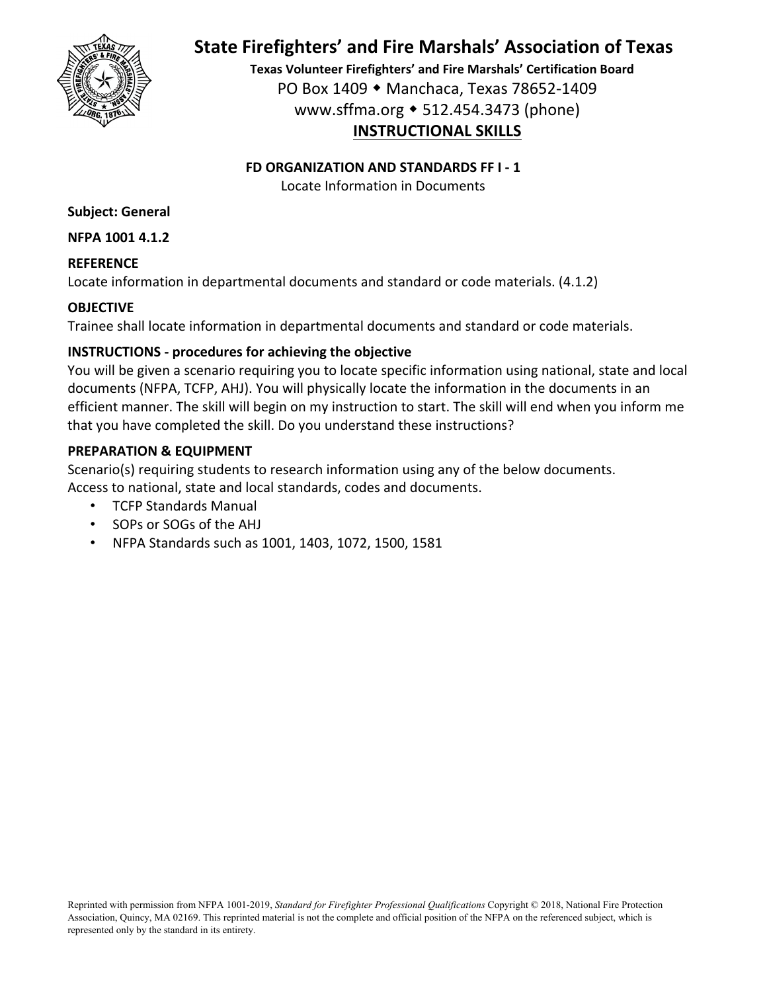

# **State Firefighters' and Fire Marshals' Association of Texas**

**Texas Volunteer Firefighters' and Fire Marshals' Certification Board** PO Box 1409 Manchaca, Texas 78652‐1409 www.sffma.org 512.454.3473 (phone) **INSTRUCTIONAL SKILLS**

### **FD ORGANIZATION AND STANDARDS FF I ‐ 1**

Locate Information in Documents

**Subject: General**

**NFPA 1001 4.1.2**

### **REFERENCE**

Locate information in departmental documents and standard or code materials. (4.1.2)

## **OBJECTIVE**

Trainee shall locate information in departmental documents and standard or code materials.

## **INSTRUCTIONS ‐ procedures for achieving the objective**

You will be given a scenario requiring you to locate specific information using national, state and local documents (NFPA, TCFP, AHJ). You will physically locate the information in the documents in an efficient manner. The skill will begin on my instruction to start. The skill will end when you inform me that you have completed the skill. Do you understand these instructions?

## **PREPARATION & EQUIPMENT**

Scenario(s) requiring students to research information using any of the below documents. Access to national, state and local standards, codes and documents.

- TCFP Standards Manual
- SOPs or SOGs of the AHJ
- NFPA Standards such as 1001, 1403, 1072, 1500, 1581